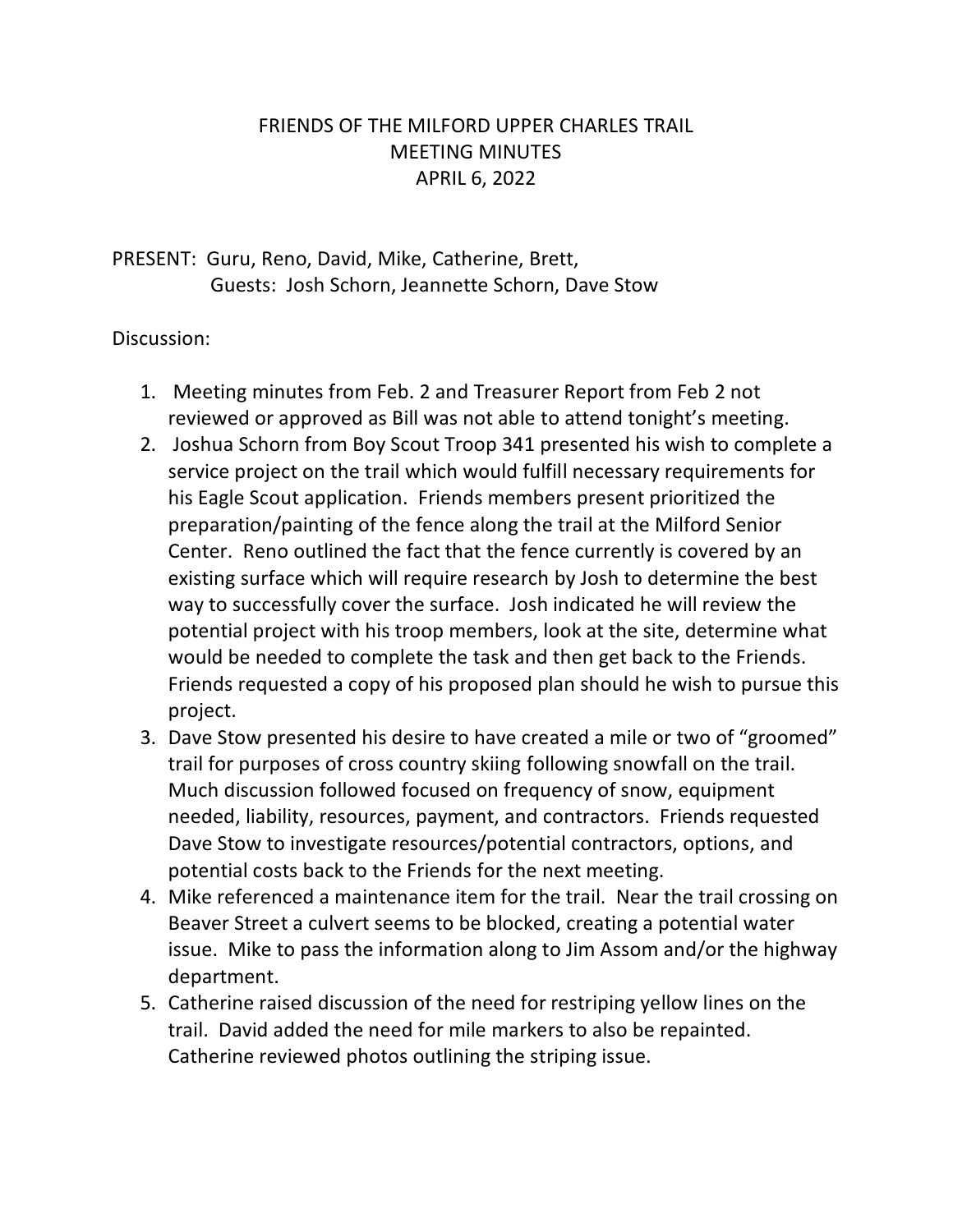## FRIENDS OF THE MILFORD UPPER CHARLES TRAIL MEETING MINUTES APRIL 6, 2022

PRESENT: Guru, Reno, David, Mike, Catherine, Brett, Guests: Josh Schorn, Jeannette Schorn, Dave Stow

## Discussion:

- 1. Meeting minutes from Feb. 2 and Treasurer Report from Feb 2 not reviewed or approved as Bill was not able to attend tonight's meeting.
- 2. Joshua Schorn from Boy Scout Troop 341 presented his wish to complete a service project on the trail which would fulfill necessary requirements for his Eagle Scout application. Friends members present prioritized the preparation/painting of the fence along the trail at the Milford Senior Center. Reno outlined the fact that the fence currently is covered by an existing surface which will require research by Josh to determine the best way to successfully cover the surface. Josh indicated he will review the potential project with his troop members, look at the site, determine what would be needed to complete the task and then get back to the Friends. Friends requested a copy of his proposed plan should he wish to pursue this project.
- 3. Dave Stow presented his desire to have created a mile or two of "groomed" trail for purposes of cross country skiing following snowfall on the trail. Much discussion followed focused on frequency of snow, equipment needed, liability, resources, payment, and contractors. Friends requested Dave Stow to investigate resources/potential contractors, options, and potential costs back to the Friends for the next meeting.
- 4. Mike referenced a maintenance item for the trail. Near the trail crossing on Beaver Street a culvert seems to be blocked, creating a potential water issue. Mike to pass the information along to Jim Assom and/or the highway department.
- 5. Catherine raised discussion of the need for restriping yellow lines on the trail. David added the need for mile markers to also be repainted. Catherine reviewed photos outlining the striping issue.